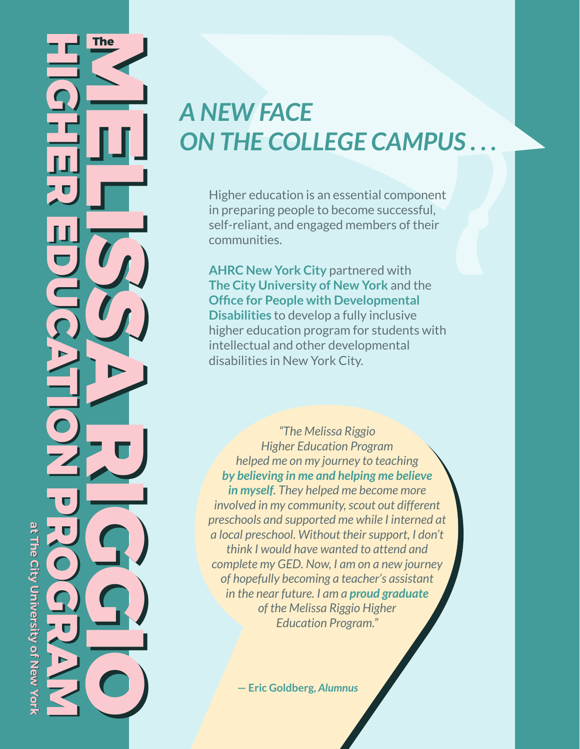# **HIGHER EDUCATION PROGRAM HIGHER EDUCATION PROGRAM MELISSA RIGGIO MELISSA RIGGIO The The** at The City University of New York **at The City University of New York**

# *A NEW FACE*  **ON THE COLLEGE CAMPUS**

Higher education is an essential component in preparing people to become successful, self-reliant, and engaged members of their communities.

**AHRC New York City** partnered with **The City University of New York** and the **Office for People with Developmental Disabilities** to develop a fully inclusive higher education program for students with intellectual and other developmental disabilities in New York City.

*"The Melissa Riggio Higher Education Program helped me on my journey to teaching by believing in me and helping me believe in myself. They helped me become more involved in my community, scout out different preschools and supported me while I interned at a local preschool. Without their support, I don't think I would have wanted to attend and complete my GED. Now, I am on a new journey of hopefully becoming a teacher's assistant in the near future. I am a proud graduate of the Melissa Riggio Higher Education Program."*

**— Eric Goldberg,** *Alumnus*